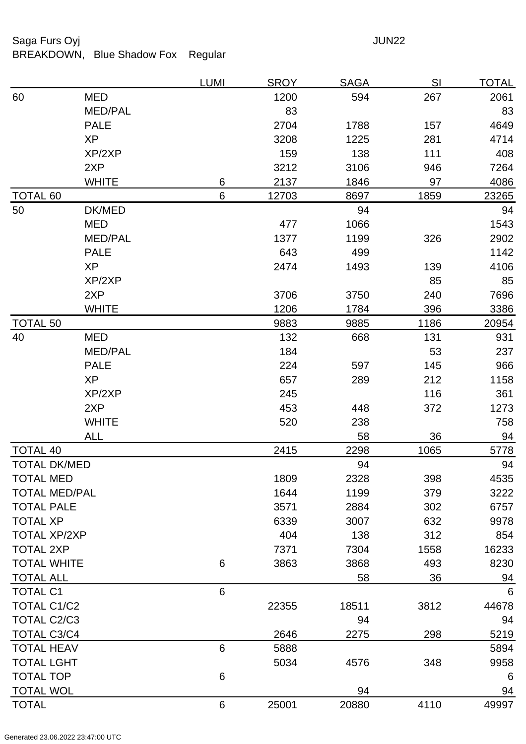## Saga Furs Oyj and the Saga Furs Oyj and the Saga Furs of the Saga Furs of the Saga Furs of the Saga Furs of the Saga Furs of the Saga Furs of the Saga Furs of the Saga Furs of the Saga Furs of the Saga Furs of the Saga Fur

BREAKDOWN, Blue Shadow Fox Regular

|                      |                | <u>LUMI</u> | <b>SROY</b> | <b>SAGA</b> | <u>SI</u> | <u>TOTAL</u>    |
|----------------------|----------------|-------------|-------------|-------------|-----------|-----------------|
| 60                   | <b>MED</b>     |             | 1200        | 594         | 267       | 2061            |
|                      | <b>MED/PAL</b> |             | 83          |             |           | 83              |
|                      | <b>PALE</b>    |             | 2704        | 1788        | 157       | 4649            |
|                      | <b>XP</b>      |             | 3208        | 1225        | 281       | 4714            |
|                      | XP/2XP         |             | 159         | 138         | 111       | 408             |
|                      | 2XP            |             | 3212        | 3106        | 946       | 7264            |
|                      | <b>WHITE</b>   | $\,6$       | 2137        | 1846        | 97        | 4086            |
| <b>TOTAL 60</b>      |                | 6           | 12703       | 8697        | 1859      | 23265           |
| 50                   | DK/MED         |             |             | 94          |           | 94              |
|                      | <b>MED</b>     |             | 477         | 1066        |           | 1543            |
|                      | <b>MED/PAL</b> |             | 1377        | 1199        | 326       | 2902            |
|                      | <b>PALE</b>    |             | 643         | 499         |           | 1142            |
|                      | <b>XP</b>      |             | 2474        | 1493        | 139       | 4106            |
|                      | XP/2XP         |             |             |             | 85        | 85              |
|                      | 2XP            |             | 3706        | 3750        | 240       | 7696            |
|                      | <b>WHITE</b>   |             | 1206        | 1784        | 396       | 3386            |
| <b>TOTAL 50</b>      |                |             | 9883        | 9885        | 1186      | 20954           |
| 40                   | <b>MED</b>     |             | 132         | 668         | 131       | 931             |
|                      | <b>MED/PAL</b> |             | 184         |             | 53        | 237             |
|                      | <b>PALE</b>    |             | 224         | 597         | 145       | 966             |
|                      | <b>XP</b>      |             | 657         | 289         | 212       | 1158            |
|                      | XP/2XP         |             | 245         |             | 116       | 361             |
|                      | 2XP            |             | 453         | 448         | 372       | 1273            |
|                      | <b>WHITE</b>   |             | 520         | 238         |           | 758             |
|                      | <b>ALL</b>     |             |             | 58          | 36        | 94              |
| <b>TOTAL 40</b>      |                |             | 2415        | 2298        | 1065      | 5778            |
| <b>TOTAL DK/MED</b>  |                |             |             | 94          |           | 94              |
| TOTAL MED            |                |             | 1809        | 2328        | 398       | 4535            |
| <b>TOTAL MED/PAL</b> |                |             | 1644        | 1199        | 379       | 3222            |
| <b>TOTAL PALE</b>    |                |             | 3571        | 2884        | 302       | 6757            |
| <b>TOTAL XP</b>      |                |             | 6339        | 3007        | 632       | 9978            |
| <b>TOTAL XP/2XP</b>  |                |             | 404         | 138         | 312       | 854             |
| <b>TOTAL 2XP</b>     |                |             | 7371        | 7304        | 1558      | 16233           |
| <b>TOTAL WHITE</b>   |                | 6           | 3863        | 3868        | 493       | 8230            |
| <b>TOTAL ALL</b>     |                |             |             | 58          | 36        | 94              |
| <b>TOTAL C1</b>      |                | 6           |             |             |           | $6\phantom{1}6$ |
| <b>TOTAL C1/C2</b>   |                |             | 22355       | 18511       | 3812      | 44678           |
| <b>TOTAL C2/C3</b>   |                |             |             | 94          |           | 94              |
| <b>TOTAL C3/C4</b>   |                |             | 2646        | 2275        | 298       | 5219            |
| <b>TOTAL HEAV</b>    |                | 6           | 5888        |             |           | 5894            |
| <b>TOTAL LGHT</b>    |                |             | 5034        | 4576        | 348       | 9958            |
| <b>TOTAL TOP</b>     |                | 6           |             |             |           | 6               |
| <b>TOTAL WOL</b>     |                |             |             | 94          |           | 94              |
| <b>TOTAL</b>         |                | 6           | 25001       | 20880       | 4110      | 49997           |
|                      |                |             |             |             |           |                 |